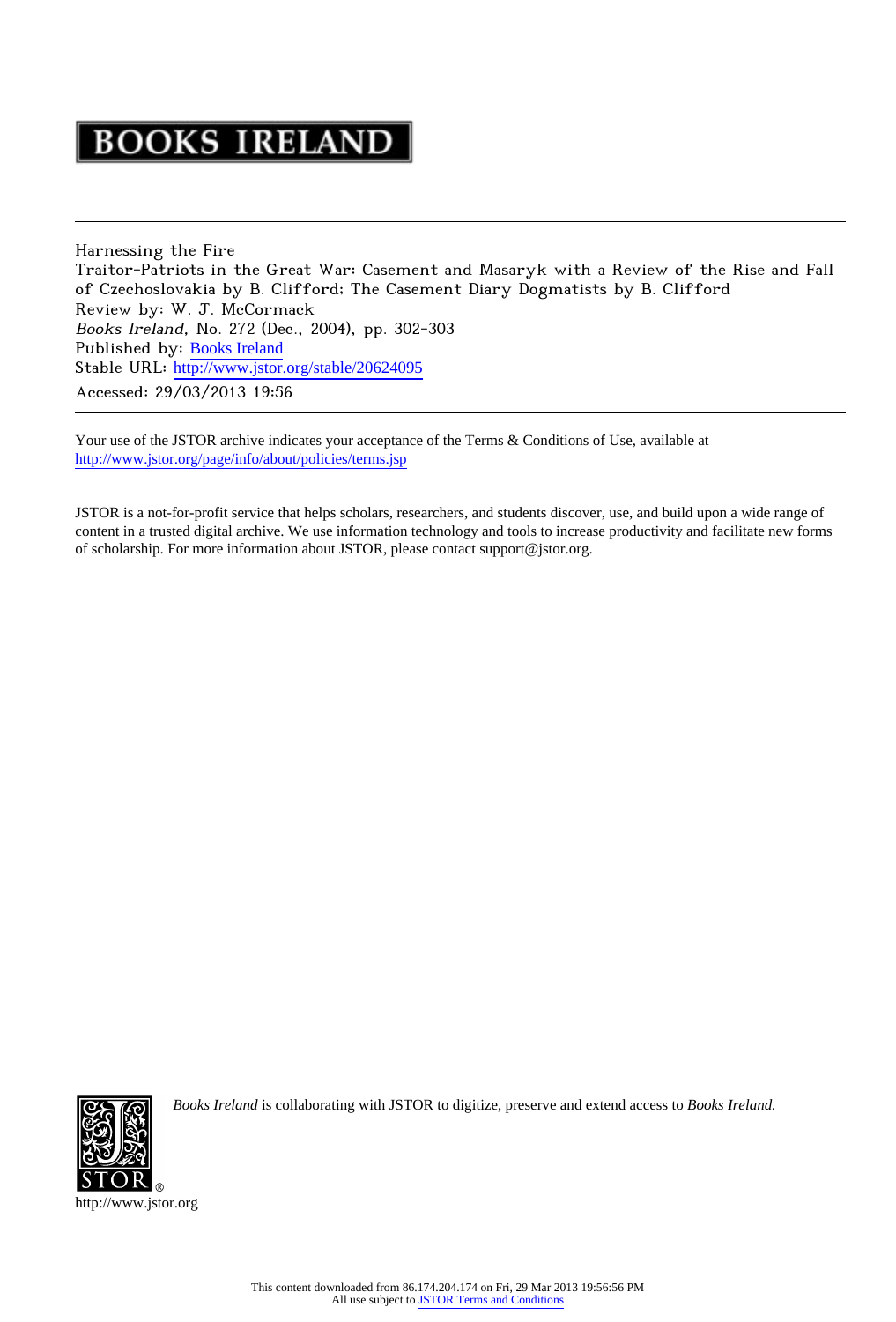# **BOOKS IRELAND**

Harnessing the Fire Traitor-Patriots in the Great War: Casement and Masaryk with a Review of the Rise and Fall of Czechoslovakia by B. Clifford; The Casement Diary Dogmatists by B. Clifford Review by: W. J. McCormack Books Ireland, No. 272 (Dec., 2004), pp. 302-303 Published by: [Books Ireland](http://www.jstor.org/action/showPublisher?publisherCode=booksireland) Stable URL: http://www.jstor.org/stable/20624095 Accessed: 29/03/2013 19:56

Your use of the JSTOR archive indicates your acceptance of the Terms & Conditions of Use, available at <http://www.jstor.org/page/info/about/policies/terms.jsp>

JSTOR is a not-for-profit service that helps scholars, researchers, and students discover, use, and build upon a wide range of content in a trusted digital archive. We use information technology and tools to increase productivity and facilitate new forms of scholarship. For more information about JSTOR, please contact support@jstor.org.



*Books Ireland* is collaborating with JSTOR to digitize, preserve and extend access to *Books Ireland.*

http://www.jstor.org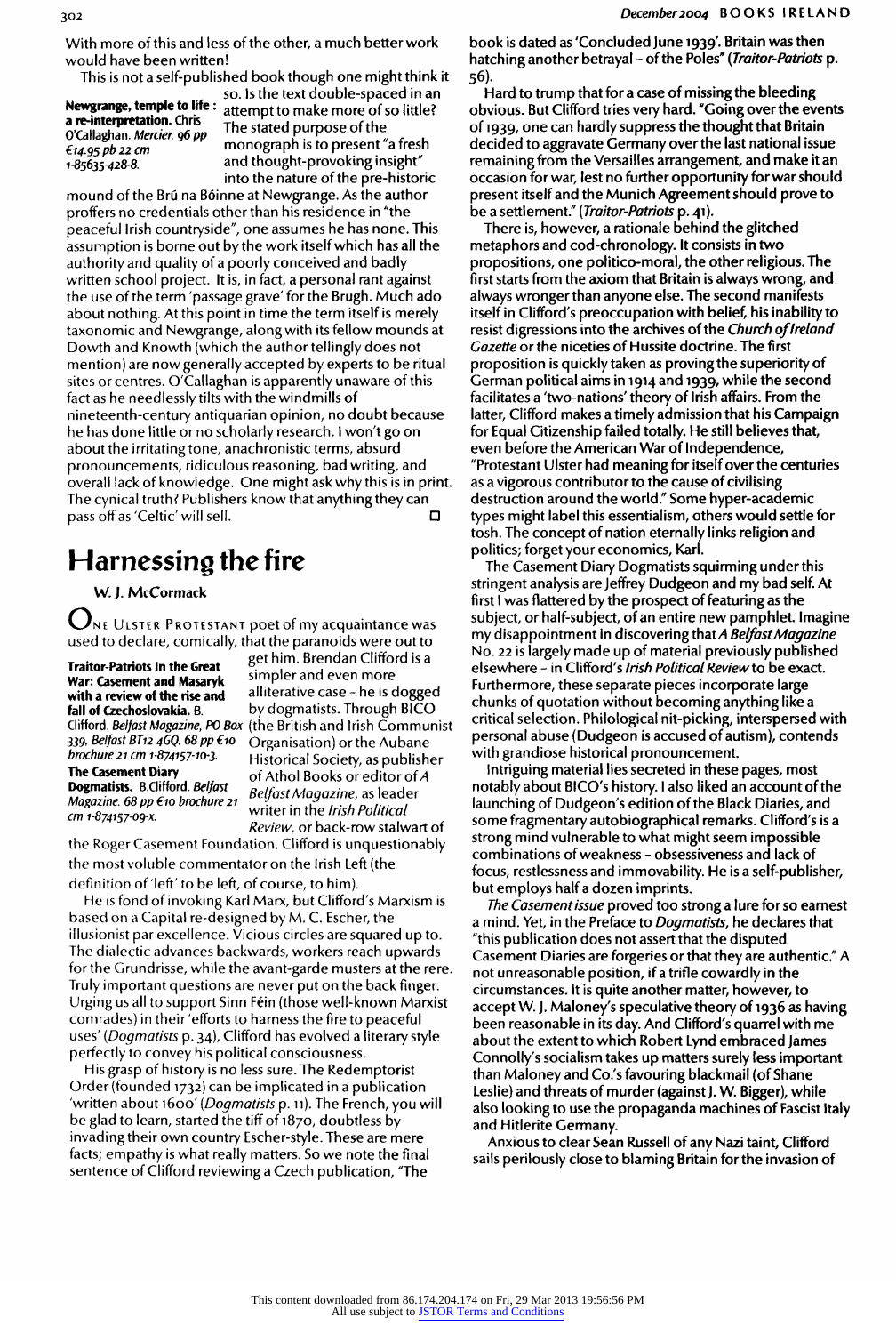With more of this and less of the other, a much better work would have been written!

This is not a self-published book though one might think it

Newgrange, temple to life :<br>a re-interpretation. Chris a re-interpretation. Chris O'Callaghan. Mercier. 96 pp 14.95 pb 22 cm 1-85635-428-8.

so. Is the text double-spaced in an attempt to make more of so little? The stated purpose of the monograph is to present "a fresh and thought-provoking insight" into the nature of the pre-historic

mound of the Brú na Bóinne at Newgrange. As the author<br>proffers no credentials other than his residence in "the proffers no credentials other than his residence in "the peaceful Irish countryside", one assumes he has none. This assumption is borne out by the work itself which has all the authority and quality of a poorly conceived and badly written school project. It is, in fact, a personal rant against the use of the term 'passage grave' for the Brugh. Much ado about nothing. At this point in time the term itself is merely taxonomic and Newgrange, along with its fellow mounds at Dowth and Knowth (which the author tellingly does not mention) are now generally accepted by experts to be ritual sites or centres. O'Callaghan is apparently unaware of this fact as he needlessly tilts with the windmills of nineteenth-century antiquarian opinion, no doubt because he has done little or no scholarly research. I won't go on about the irritating tone, anachronistic terms, absurd pronouncements, ridiculous reasoning, bad writing, and overall lack of knowledge. One might ask why this is in print. The cynical truth? Publishers know that anything they can pass off as 'Celtic' will sell.

## Harnessing the fire

W. J. McCormack

 $\mathbf{U}$ не Ulster Protestant poet of my acquaintance was used to declare, comically, that the paranoids were out to get him. Brendan Clifford is a

Traitor-Patriots In the Great War: Casement and Masaryk<br>with a review of the rise and with a review of the rise and  $\frac{1}{2}$  alliterative case - he is dogge Dogmatists. B.Clifford. Belfast

fall of Czechoslovakia. B. by dogmatists. Through BICO<br>Clifford Belfect Magazine, DO Bev. (the British and Light Commun Clifford, *Belfast Magazine, PO Box* (the British and Irish Communist<br>220 Belfast PT42 4CO 69 pp 640 ... Computer is the leader of the leader 339, Belfast BT12 4GQ. 68 pp  $f$ 10 Organisation) or the Aubane<br>brochure 21 cm 1-874157-10-3. Historical Society, as publish brochure 21 cm 1-874157-10-3. Historical Society, as publisher The Casement Diary of Athol Books or editor of A Magazine. 68 pp  $\epsilon$ 10 brochure 21 writer in the limit Belfast Magazine, as leader  $i$ ch Political cm 1-874157-09-x writer in the Irish Political Review, or back-row stalwart of

simpler and even more

the Roger Casement Foundation, Clifford is unquestionably the most voluble commentator on the Irish Left (the definition of 'left' to be left, of course, to him).

He is fond of invoking Karl Marx, but Clifford's Marxism is based on a Capital re-designed by M. C. Escher, the illusionist par excellence. Vicious circles are squared up to. The dialectic advances backwards, workers reach upwards for the Grundrisse, while the avant-garde musters at the rere. Truly important questions are never put on the back finger. Urging us all to support Sinn Fein (those well-known Marxist comrades) in their 'efforts to harness the fire to peaceful uses' (Dogmatists p. 34), Clifford has evolved a literary style perfectly to convey his political consciousness.

His grasp of history is no less sure. The Redemptorist Order (founded 1732) can be implicated in a publication 'written about 1600' (Dogmatists p. 11). The French, you will be glad to learn, started the tiff of 1870, doubtless by invading their own country Escher-style. These are mere facts; empathy is what really matters. So we note the final sentence of Clifford reviewing a Czech publication, "The

book is dated as 'Concluded June 1939'. Britain was then hatching another betrayal – of the Poles" (*Traitor-Patriots* p. 56).

Hard to trump that for a case of missing the bleeding obvious. But Clifford tries very hard. "Going over the events of 1939, one can hardly suppress the thought that Britain decided to aggravate Germany over the last national issue remaining from the Versailles arrangement, and make it an occasion for war, lest no further opportunity for war should present itself and the Munich Agreement should prove to be a settlement." (Traitor-Patriots p. 41).

There is, however, a rationale behind the glitched metaphors and cod-chronology. It consists in two propositions, one politico-moral, the other religious. The first starts from the axiom that Britain is always wrong, and always wronger than anyone else. The second mannest<br>itself in Clifford's procesupation with holief, his inshifts itself in Clifford's preoccupation with belief, his inability to resist digressions into the archives of the Church of Ireland Gazette or the niceties of Hussite doctrine. The first proposition is quickly taken as proving the superiority of German political aims in 1914 and 1939, while the second facilitates a 'two-nations' theory of Irish affairs. From the latter, Clifford makes a timely admission that his Campaign for Equal Citizenship failed totally. He still believes that, even before the American War of Independence, "Protestant Ulster had meaning for itself over the centuries as a vigorous contributor to the cause of civilising destruction around the world." Some hyper-academic types might label this essentialism, others would settle for tosh. The concept of nation eternally links religion and politics; forget your economics, Karl.

The Casement Diary Dogmatists squirming under this stringent analysis are Jeffrey Dudgeon and my bad self. At first I was flattered by the prospect of featuring as the subject, or half-subject, of an entire new pamphlet. Imagine my disappointment in discovering that A Belfast Magazine No. 22 is largely made up of material previously published elsewhere - in Clifford's Irish Political Review to be exact. Furthermore, these separate pieces incorporate large chunks of quotation without becoming anything like a critical selection. Philological nit-picking, interspersed with personal abuse (Dudgeon is accused of autism), contends with grandiose historical pronouncement.

Intriguing material lies secreted in these pages, most notably about BICO's history. I also liked an account of the launching of Dudgeon's edition of the Black Diaries, and some fragmentary autobiographical remarks. Clifford's is a strong mind vulnerable to what might seem impossible combinations of weakness - obsessiveness and lack of focus, restlessness and immovability. He is a self-publisher, but employs half a dozen imprints.

The Casement issue proved too strong a lure for so earnest a mind. Yet, in the Preface to *Dogmatists*, he declares that "this publication does not assert that the disputed Casement Diaries are forgeries or that they are authentic." A not unreasonable position, if a trifle cowardly in the circumstances. It is quite another matter, however, to accept W. J. Maloney's speculative theory of 1936 as having been reasonable in its day. And Clifford's quarrel with me about the extent to which Robert Lynd embraced James Connolly's socialism takes up matters surely less important than Maloney and Co.'s favouring blackmail (of Shane Leslie) and threats of murder (against J. W. Bigger), while also looking to use the propaganda machines of Fascist Italy and Hitlerite Germany.

Anxious to clear Sean Russell of any Nazi taint, Clifford sails perilously close to blaming Britain for the invasion of